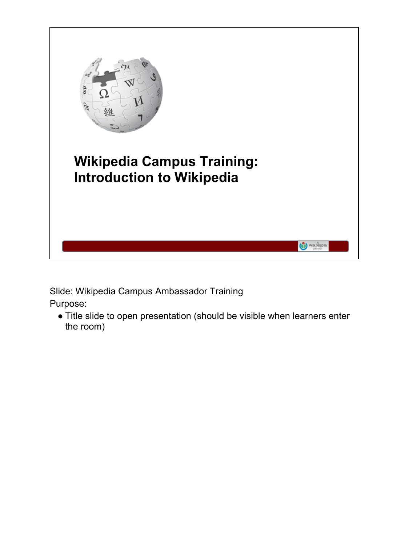

Slide: Wikipedia Campus Ambassador Training Purpose:

● Title slide to open presentation (should be visible when learners enter the room)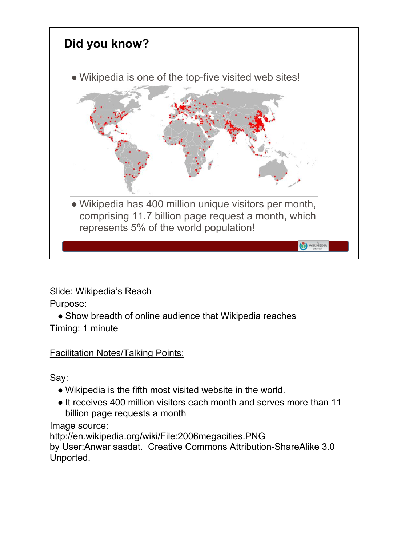

Slide: Wikipedia's Reach

Purpose:

• Show breadth of online audience that Wikipedia reaches Timing: 1 minute

Facilitation Notes/Talking Points:

Say:

- Wikipedia is the fifth most visited website in the world.
- It receives 400 million visitors each month and serves more than 11 billion page requests a month

Image source:

http://en.wikipedia.org/wiki/File:2006megacities.PNG by User:Anwar sasdat. Creative Commons Attribution-ShareAlike 3.0 Unported.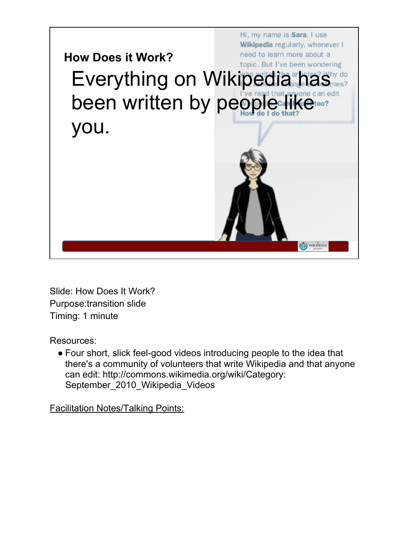

Slide: How Does It Work? Purpose:transition slide Timing: 1 minute

Resources:

● Four short, slick feel-good videos introducing people to the idea that there's a community of volunteers that write Wikipedia and that anyone can edit: http://commons.wikimedia.org/wiki/Category: September\_2010\_Wikipedia\_Videos

Facilitation Notes/Talking Points: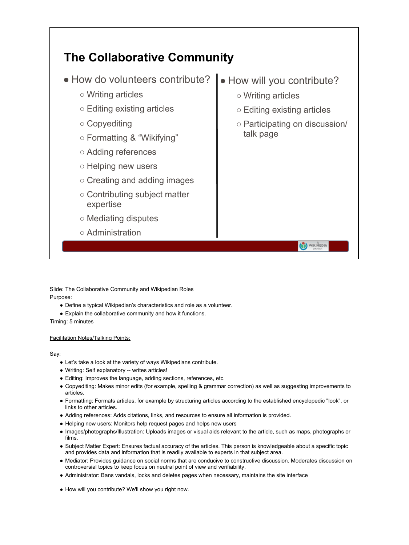

Slide: The Collaborative Community and Wikipedian Roles Purpose:

- Define a typical Wikipedian's characteristics and role as a volunteer.
- Explain the collaborative community and how it functions.
- Timing: 5 minutes

### Facilitation Notes/Talking Points:

### Say:

- Let's take a look at the variety of ways Wikipedians contribute.
- Writing: Self explanatory -- writes articles!
- Editing: Improves the language, adding sections, references, etc.
- Copyediting: Makes minor edits (for example, spelling & grammar correction) as well as suggesting improvements to articles.
- Formatting: Formats articles, for example by structuring articles according to the established encyclopedic "look", or links to other articles.
- Adding references: Adds citations, links, and resources to ensure all information is provided.
- Helping new users: Monitors help request pages and helps new users
- Images/photographs/Illustration: Uploads images or visual aids relevant to the article, such as maps, photographs or films.
- Subject Matter Expert: Ensures factual accuracy of the articles. This person is knowledgeable about a specific topic and provides data and information that is readily available to experts in that subject area.
- Mediator: Provides guidance on social norms that are conducive to constructive discussion. Moderates discussion on controversial topics to keep focus on neutral point of view and verifiability.
- Administrator: Bans vandals, locks and deletes pages when necessary, maintains the site interface
- How will you contribute? We'll show you right now.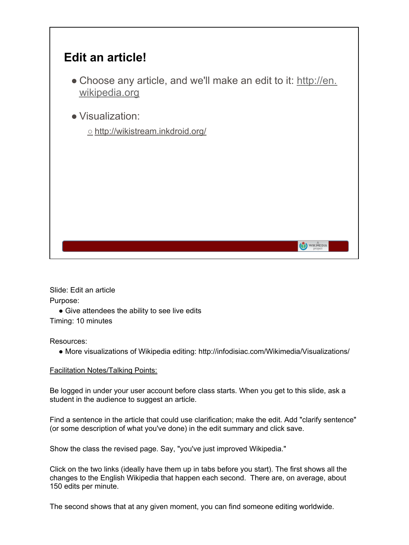

Slide: Edit an article Purpose:

• Give attendees the ability to see live edits Timing: 10 minutes

Resources:

● More visualizations of Wikipedia editing: http://infodisiac.com/Wikimedia/Visualizations/

### Facilitation Notes/Talking Points:

Be logged in under your user account before class starts. When you get to this slide, ask a student in the audience to suggest an article.

Find a sentence in the article that could use clarification; make the edit. Add "clarify sentence" (or some description of what you've done) in the edit summary and click save.

Show the class the revised page. Say, "you've just improved Wikipedia."

Click on the two links (ideally have them up in tabs before you start). The first shows all the changes to the English Wikipedia that happen each second. There are, on average, about 150 edits per minute.

The second shows that at any given moment, you can find someone editing worldwide.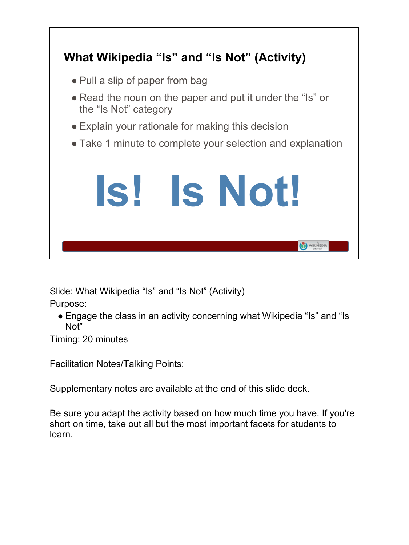

Slide: What Wikipedia "Is" and "Is Not" (Activity)

Purpose:

• Engage the class in an activity concerning what Wikipedia "Is" and "Is" Not"

Timing: 20 minutes

## Facilitation Notes/Talking Points:

Supplementary notes are available at the end of this slide deck.

Be sure you adapt the activity based on how much time you have. If you're short on time, take out all but the most important facets for students to learn.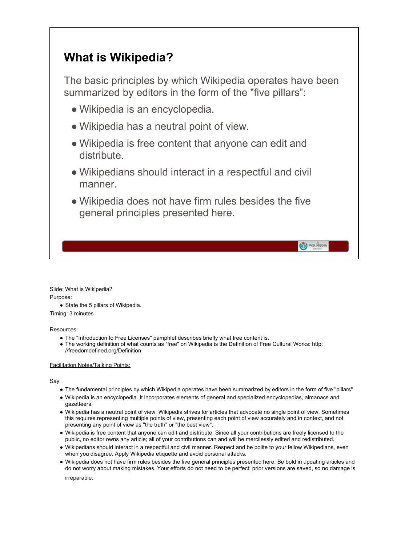## **What is Wikipedia?**

The basic principles by which Wikipedia operates have been summarized by editors in the form of the "five pillars":

- Wikipedia is an encyclopedia.
- Wikipedia has a neutral point of view.
- Wikipedia is free content that anyone can edit and distribute.
- Wikipedians should interact in a respectful and civil manner.
- Wikipedia does not have firm rules besides the five general principles presented here.

WIKIMEDIA

Slide: What is Wikipedia? Purpose:

● State the 5 pillars of Wikipedia.

Timing: 3 minutes

Resources:

- The "Introduction to Free Licenses" pamphlet describes briefly what free content is.
- The working definition of what counts as "free" on Wikipedia is the Definition of Free Cultural Works: http: //freedomdefined.org/Definition

### Facilitation Notes/Talking Points:

Say:

- The fundamental principles by which Wikipedia operates have been summarized by editors in the form of five "pillars"
- Wikipedia is an encyclopedia. It incorporates elements of general and specialized encyclopedias, almanacs and gazetteers.
- Wikipedia has a neutral point of view. Wikipedia strives for articles that advocate no single point of view. Sometimes this requires representing multiple points of view, presenting each point of view accurately and in context, and not presenting any point of view as "the truth" or "the best view".
- Wikipedia is free content that anyone can edit and distribute. Since all your contributions are freely licensed to the public, no editor owns any article; all of your contributions can and will be mercilessly edited and redistributed.
- Wikipedians should interact in a respectful and civil manner. Respect and be polite to your fellow Wikipedians, even when you disagree. Apply Wikipedia etiquette and avoid personal attacks.
- Wikipedia does not have firm rules besides the five general principles presented here. Be bold in updating articles and do not worry about making mistakes. Your efforts do not need to be perfect; prior versions are saved, so no damage is irreparable.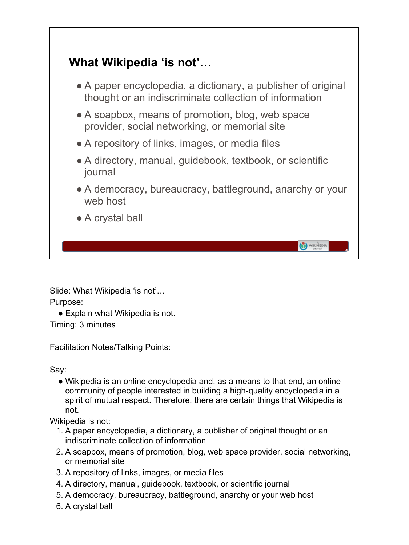# **What Wikipedia 'is not'…**

- A paper encyclopedia, a dictionary, a publisher of original thought or an indiscriminate collection of information
- A soapbox, means of promotion, blog, web space provider, social networking, or memorial site
- A repository of links, images, or media files
- A directory, manual, quidebook, textbook, or scientific journal
- A democracy, bureaucracy, battleground, anarchy or your web host

**6**

 $\bigodot_{\text{project}}^{\mathbb{A}}$ 

● A crystal ball

Slide: What Wikipedia 'is not'... Purpose:

• Explain what Wikipedia is not. Timing: 3 minutes

## Facilitation Notes/Talking Points:

Say:

● Wikipedia is an online encyclopedia and, as a means to that end, an online community of people interested in building a high-quality encyclopedia in a spirit of mutual respect. Therefore, there are certain things that Wikipedia is not.

Wikipedia is not:

- 1. A paper encyclopedia, a dictionary, a publisher of original thought or an indiscriminate collection of information
- 2. A soapbox, means of promotion, blog, web space provider, social networking, or memorial site
- 3. A repository of links, images, or media files
- 4. A directory, manual, guidebook, textbook, or scientific journal
- 5. A democracy, bureaucracy, battleground, anarchy or your web host
- 6. A crystal ball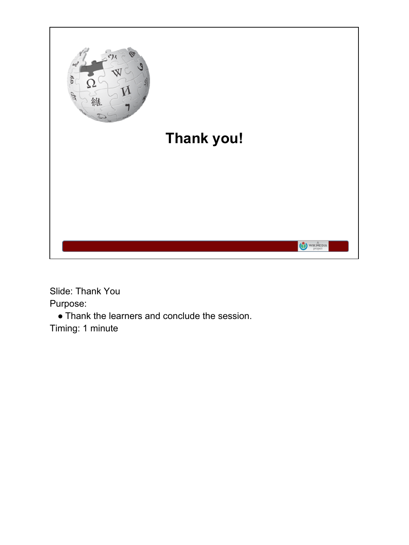

Slide: Thank You Purpose:

● Thank the learners and conclude the session. Timing: 1 minute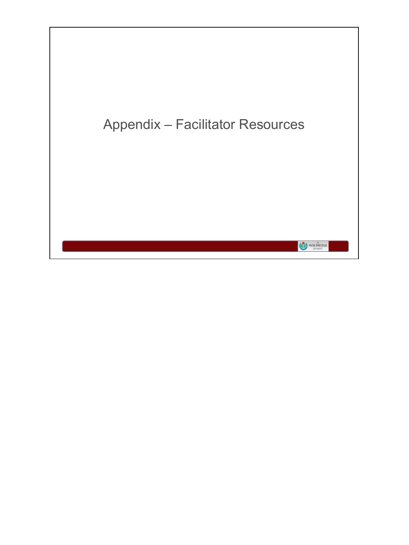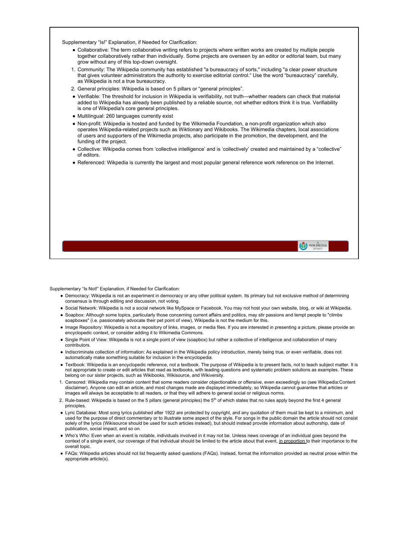Supplementary "Is!" Explanation, if Needed for Clarification:

- Collaborative: The term collaborative writing refers to projects where written works are created by multiple people together collaboratively rather than individually. Some projects are overseen by an editor or editorial team, but many grow without any of this top-down oversight.
- 1. Community: The Wikipedia community has established "a bureaucracy of sorts," including "a clear power structure that gives volunteer administrators the authority to exercise editorial control." Use the word "bureaucracy" carefully, as Wikipedia is not a true bureaucracy.
- 2. General principles: Wikipedia is based on 5 pillars or "general principles".
- Verifiable: The threshold for inclusion in Wikipedia is verifiability, not truth—whether readers can check that material added to Wikipedia has already been published by a reliable source, not whether editors think it is true. Verifiability is one of Wikipedia's core general principles.
- Multilingual: 260 languages currently exist
- Non-profit: Wikipedia is hosted and funded by the Wikimedia Foundation, a non-profit organization which also operates Wikipedia-related projects such as Wiktionary and Wikibooks. The Wikimedia chapters, local associations of users and supporters of the Wikimedia projects, also participate in the promotion, the development, and the funding of the project.
- Collective: Wikipedia comes from 'collective intelligence' and is 'collectively' created and maintained by a "collective" of editors.
- Referenced: Wikpedia is currently the largest and most popular general reference work reference on the Internet.

Supplementary "Is Not!" Explanation, if Needed for Clarification:

● Democracy: Wikipedia is not an experiment in democracy or any other political system. Its primary but not exclusive method of determining consensus is through editing and discussion, not voting.

WIKIMEDIA

- Social Network: Wikipedia is not a social network like MySpace or Facebook. You may not host your own website, blog, or wiki at Wikipedia.
- Soapbox: Although some topics, particularly those concerning current affairs and politics, may stir passions and tempt people to "climbs soapboxes" (i.e. passionately advocate their pet point of view), Wikipedia is not the medium for this.
- Image Repository: Wikipedia is not a repository of links, images, or media files. If you are interested in presenting a picture, please provide an encyclopedic context, or consider adding it to Wikimedia Commons.
- Single Point of View: Wikipedia is not a single point of view (soapbox) but rather a collective of intelligence and collaboration of many contributors.
- Indiscriminate collection of information: As explained in the Wikipedia policy introduction, merely being true, or even verifiable, does not automatically make something suitable for inclusion in the encyclopedia.
- Textbook: Wikipedia is an encyclopedic reference, not a textbook. The purpose of Wikipedia is to present facts, not to teach subject matter. It is not appropriate to create or edit articles that read as textbooks, with leading questions and systematic problem solutions as examples. These belong on our sister projects, such as Wikibooks, Wikisource, and Wikiversity.
- 1. Censored: Wikipedia may contain content that some readers consider objectionable or offensive, even exceedingly so (see Wikipedia:Content disclaimer). Anyone can edit an article, and most changes made are displayed immediately, so Wikipedia cannot guarantee that articles or images will always be acceptable to all readers, or that they will adhere to general social or religious norms.
- 2. Rule-based: Wikipedia is based on the 5 pillars (general principles) the  $5<sup>th</sup>$  of which states that no rules apply beyond the first 4 general principles.
- Lyric Database: Most song lyrics published after 1922 are protected by copyright, and any quotation of them must be kept to a minimum, and used for the purpose of direct commentary or to illustrate some aspect of the style. For songs in the public domain the article should not consist solely of the lyrics (Wikisource should be used for such articles instead), but should instead provide information about authorship, date of publication, social impact, and so on.
- Who's Who: Even when an event is notable, individuals involved in it may not be. Unless news coverage of an individual goes beyond the context of a single event, our coverage of that individual should be limited to the article about that event, in proportion to their importance to the overall topic.
- FAQs: Wikipedia articles should not list frequently asked questions (FAQs). Instead, format the information provided as neutral prose within the appropriate article(s).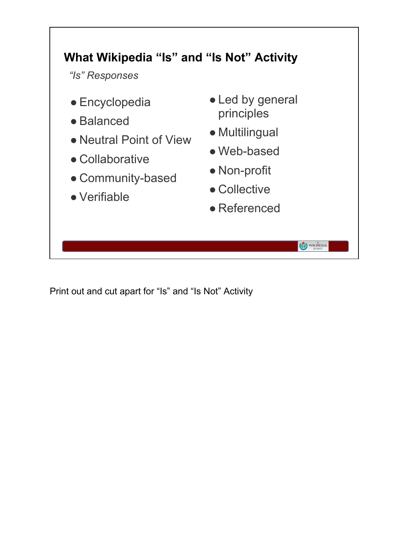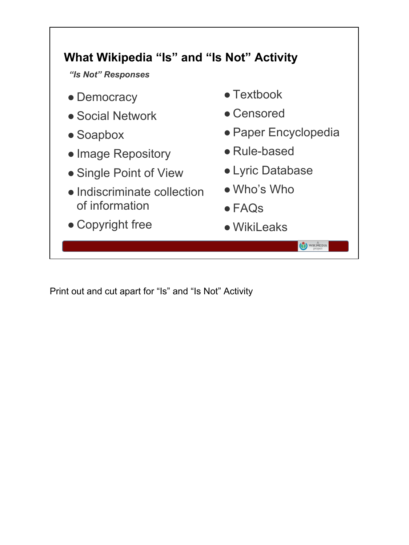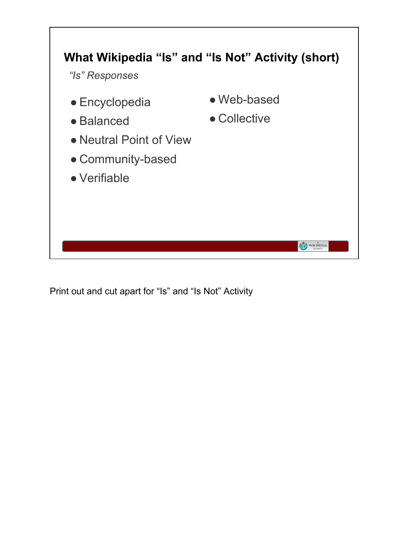